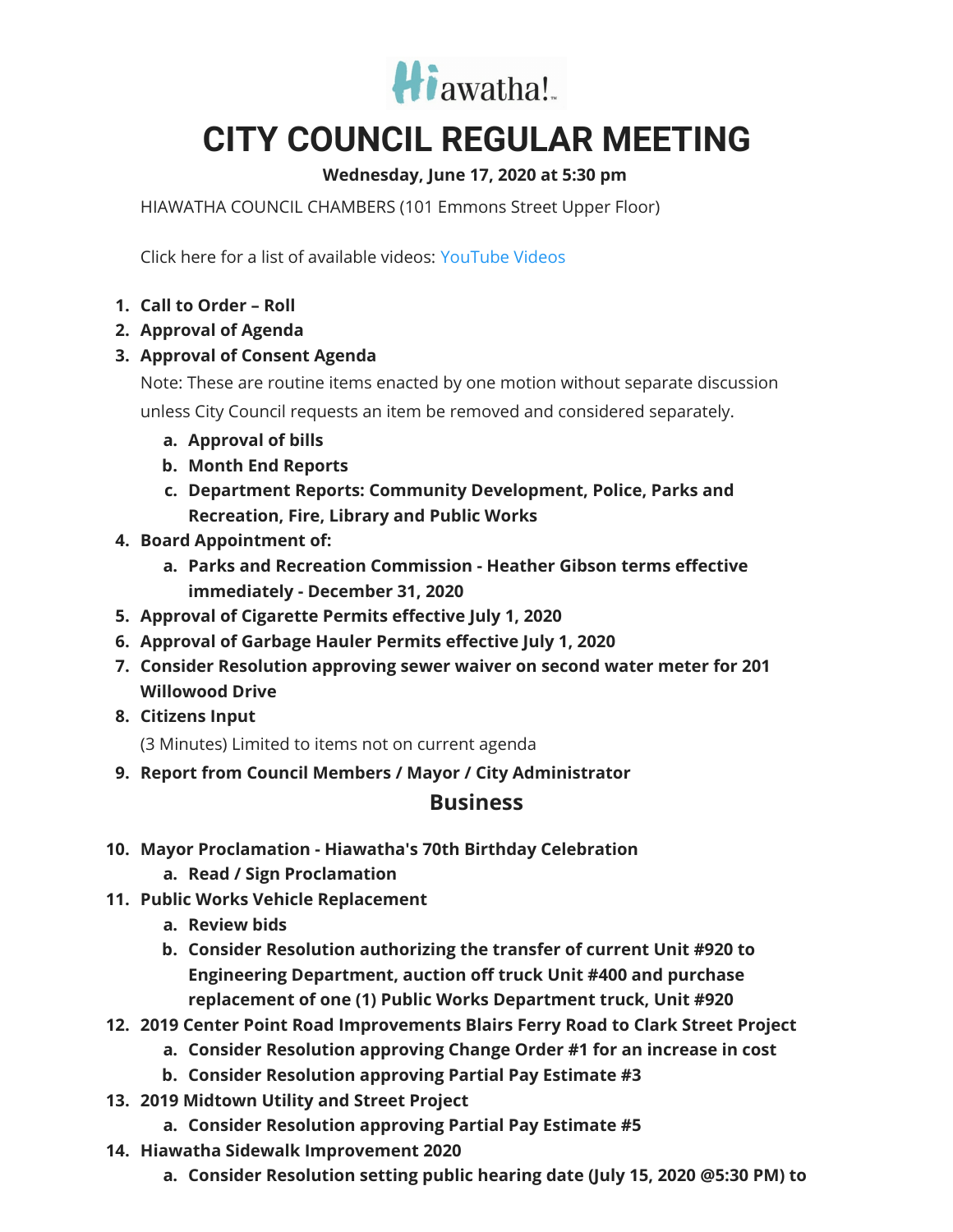

## **CITY COUNCIL REGULAR MEETING**

## **Wednesday, June 17, 2020 at 5:30 pm**

HIAWATHA COUNCIL CHAMBERS (101 Emmons Street Upper Floor)

Click here for a list of available videos: [YouTube](https://www.youtube.com/channel/UC3Vyub-x0FNe8YImqf5XsOQ) Videos

- **1. Call to Order – Roll**
- **2. Approval of Agenda**
- **3. Approval of Consent Agenda**

Note: These are routine items enacted by one motion without separate discussion unless City Council requests an item be removed and considered separately.

- **a. Approval of bills**
- **b. Month End Reports**
- **c. Department Reports: Community Development, Police, Parks and Recreation, Fire, Library and Public Works**
- **4. Board Appointment of:**
	- **a. Parks and Recreation Commission - Heather Gibson terms effective immediately - December 31, 2020**
- **5. Approval of Cigarette Permits effective July 1, 2020**
- **6. Approval of Garbage Hauler Permits effective July 1, 2020**
- **7. Consider Resolution approving sewer waiver on second water meter for 201 Willowood Drive**
- **8. Citizens Input**

(3 Minutes) Limited to items not on current agenda

**9. Report from Council Members / Mayor / City Administrator**

## **Business**

- **10. Mayor Proclamation - Hiawatha's 70th Birthday Celebration**
	- **a. Read / Sign Proclamation**
- **11. Public Works Vehicle Replacement**
	- **a. Review bids**
	- **b. Consider Resolution authorizing the transfer of current Unit #920 to Engineering Department, auction off truck Unit #400 and purchase replacement of one (1) Public Works Department truck, Unit #920**
- **12. 2019 Center Point Road Improvements Blairs Ferry Road to Clark Street Project**
	- **a. Consider Resolution approving Change Order #1 for an increase in cost**
	- **b. Consider Resolution approving Partial Pay Estimate #3**
- **13. 2019 Midtown Utility and Street Project**
	- **a. Consider Resolution approving Partial Pay Estimate #5**
- **14. Hiawatha Sidewalk Improvement 2020**
	- **a. Consider Resolution setting public hearing date (July 15, 2020 @5:30 PM) to**